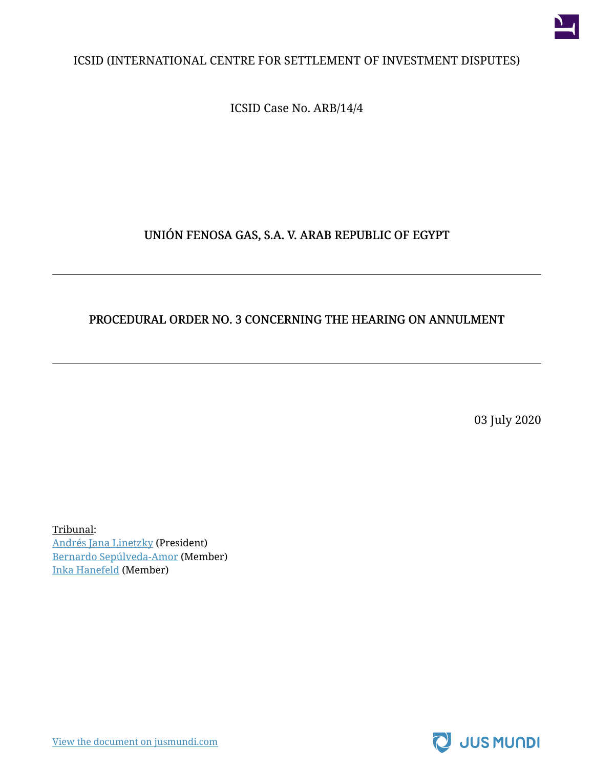

#### ICSID (INTERNATIONAL CENTRE FOR SETTLEMENT OF INVESTMENT DISPUTES)

ICSID Case No. ARB/14/4

#### UNIÓN FENOSA GAS, S.A. V. ARAB REPUBLIC OF EGYPT

#### PROCEDURAL ORDER NO. 3 CONCERNING THE HEARING ON ANNULMENT

03 July 2020

Tribunal: [Andrés Jana Linetzky](https://jusmundi.com/p/andres-jana-linetzky) (President) [Bernardo Sepúlveda-Amor](https://jusmundi.com/p/bernardo-sepulveda-amor) (Member) [Inka Hanefeld](https://jusmundi.com/p/inka-hanefeld-1) (Member)

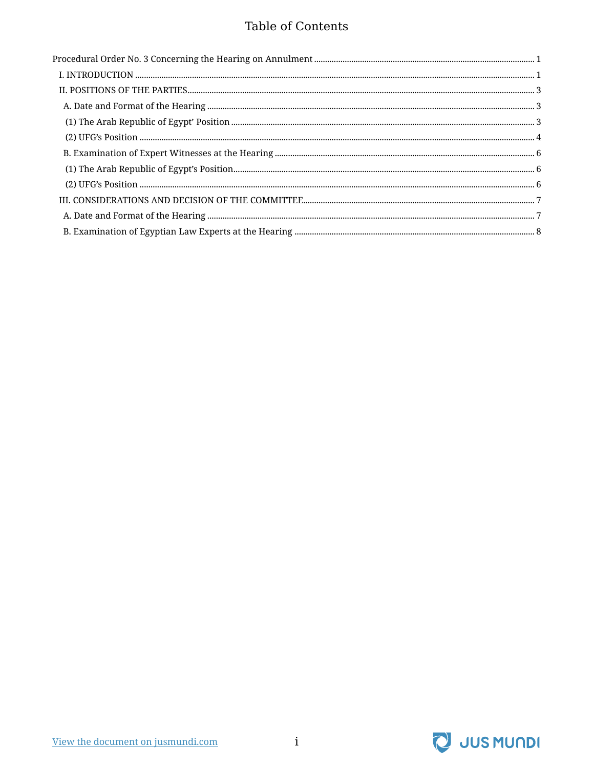#### **Table of Contents**

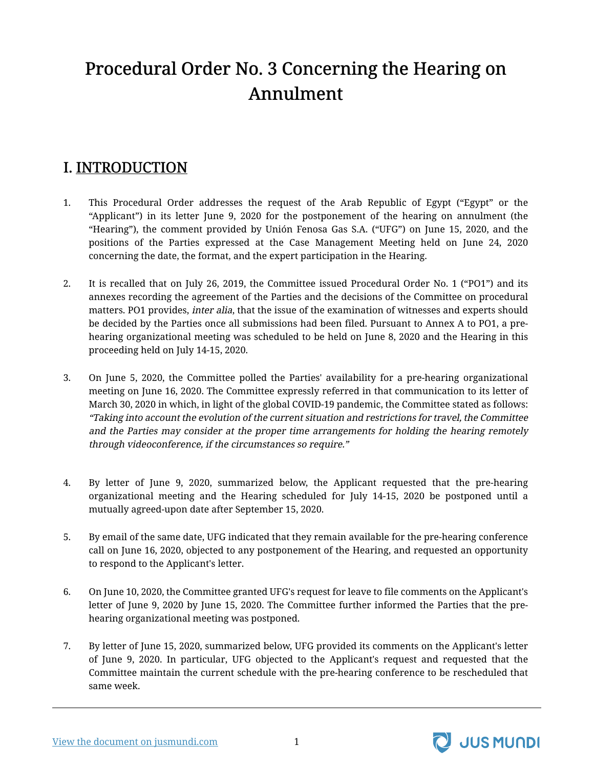# <span id="page-2-0"></span>Procedural Order No. 3 Concerning the Hearing on Annulment

#### <span id="page-2-1"></span>I. INTRODUCTION

- 1. This Procedural Order addresses the request of the Arab Republic of Egypt ("Egypt" or the "Applicant") in its letter June 9, 2020 for the postponement of the hearing on annulment (the "Hearing"), the comment provided by Unión Fenosa Gas S.A. ("UFG") on June 15, 2020, and the positions of the Parties expressed at the Case Management Meeting held on June 24, 2020 concerning the date, the format, and the expert participation in the Hearing.
- 2. It is recalled that on July 26, 2019, the Committee issued Procedural Order No. 1 ("PO1") and its annexes recording the agreement of the Parties and the decisions of the Committee on procedural matters. PO1 provides, *inter alia*, that the issue of the examination of witnesses and experts should be decided by the Parties once all submissions had been filed. Pursuant to Annex A to PO1, a prehearing organizational meeting was scheduled to be held on June 8, 2020 and the Hearing in this proceeding held on July 14-15, 2020.
- 3. On June 5, 2020, the Committee polled the Parties' availability for a pre-hearing organizational meeting on June 16, 2020. The Committee expressly referred in that communication to its letter of March 30, 2020 in which, in light of the global COVID-19 pandemic, the Committee stated as follows: "Taking into account the evolution of the current situation and restrictions for travel, the Committee and the Parties may consider at the proper time arrangements for holding the hearing remotely through videoconference, if the circumstances so require."
- 4. By letter of June 9, 2020, summarized below, the Applicant requested that the pre-hearing organizational meeting and the Hearing scheduled for July 14-15, 2020 be postponed until a mutually agreed-upon date after September 15, 2020.
- 5. By email of the same date, UFG indicated that they remain available for the pre-hearing conference call on June 16, 2020, objected to any postponement of the Hearing, and requested an opportunity to respond to the Applicant's letter.
- 6. On June 10, 2020, the Committee granted UFG's request for leave to file comments on the Applicant's letter of June 9, 2020 by June 15, 2020. The Committee further informed the Parties that the prehearing organizational meeting was postponed.
- 7. By letter of June 15, 2020, summarized below, UFG provided its comments on the Applicant's letter of June 9, 2020. In particular, UFG objected to the Applicant's request and requested that the Committee maintain the current schedule with the pre-hearing conference to be rescheduled that same week.



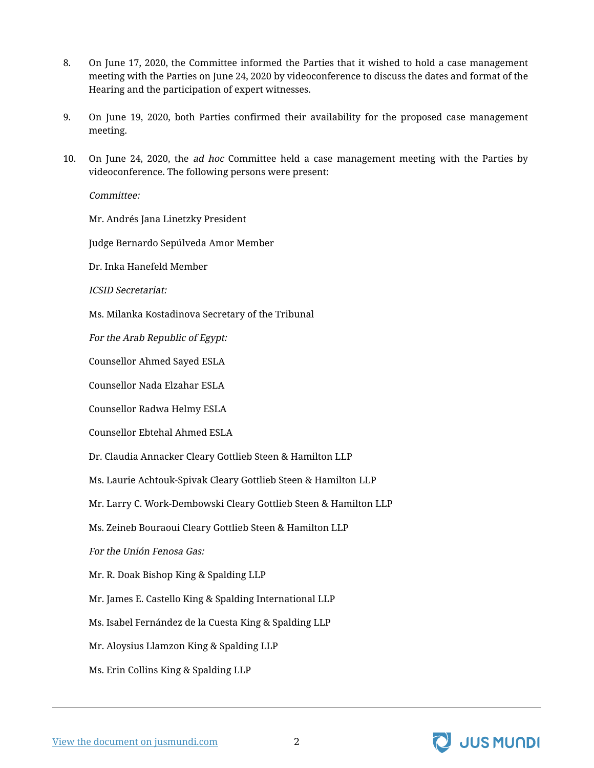- 8. On June 17, 2020, the Committee informed the Parties that it wished to hold a case management meeting with the Parties on June 24, 2020 by videoconference to discuss the dates and format of the Hearing and the participation of expert witnesses.
- 9. On June 19, 2020, both Parties confirmed their availability for the proposed case management meeting.
- 10. On June 24, 2020, the *ad hoc* Committee held a case management meeting with the Parties by videoconference. The following persons were present:

Committee:

Mr. Andrés Jana Linetzky President

Judge Bernardo Sepúlveda Amor Member

Dr. Inka Hanefeld Member

ICSID Secretariat:

Ms. Milanka Kostadinova Secretary of the Tribunal

For the Arab Republic of Egypt:

Counsellor Ahmed Sayed ESLA

Counsellor Nada Elzahar ESLA

Counsellor Radwa Helmy ESLA

Counsellor Ebtehal Ahmed ESLA

Dr. Claudia Annacker Cleary Gottlieb Steen & Hamilton LLP

Ms. Laurie Achtouk-Spivak Cleary Gottlieb Steen & Hamilton LLP

Mr. Larry C. Work-Dembowski Cleary Gottlieb Steen & Hamilton LLP

Ms. Zeineb Bouraoui Cleary Gottlieb Steen & Hamilton LLP

For the Unión Fenosa Gas:

Mr. R. Doak Bishop King & Spalding LLP

Mr. James E. Castello King & Spalding International LLP

Ms. Isabel Fernández de la Cuesta King & Spalding LLP

Mr. Aloysius Llamzon King & Spalding LLP

Ms. Erin Collins King & Spalding LLP

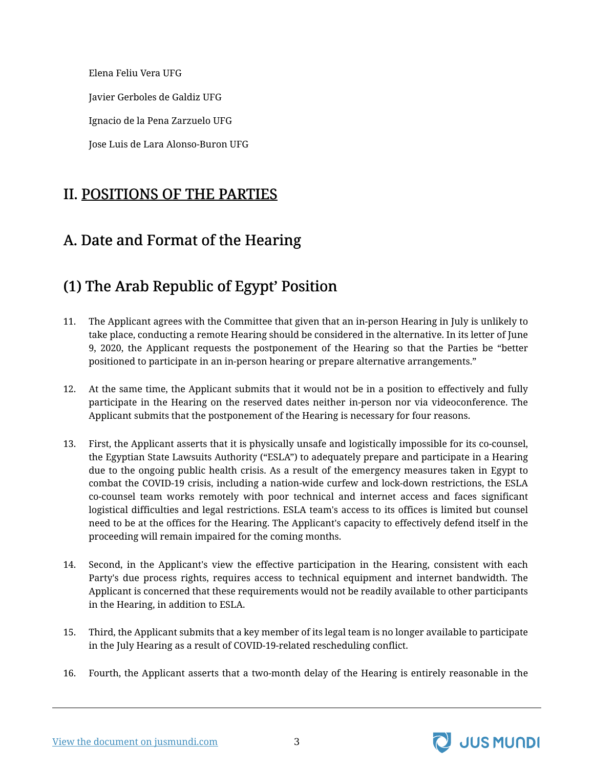Elena Feliu Vera UFG Javier Gerboles de Galdiz UFG Ignacio de la Pena Zarzuelo UFG Jose Luis de Lara Alonso-Buron UFG

#### <span id="page-4-0"></span>II. POSITIONS OF THE PARTIES

# <span id="page-4-1"></span>A. Date and Format of the Hearing

### <span id="page-4-2"></span>(1) The Arab Republic of Egypt' Position

- 11. The Applicant agrees with the Committee that given that an in-person Hearing in July is unlikely to take place, conducting a remote Hearing should be considered in the alternative. In its letter of June 9, 2020, the Applicant requests the postponement of the Hearing so that the Parties be "better positioned to participate in an in-person hearing or prepare alternative arrangements."
- 12. At the same time, the Applicant submits that it would not be in a position to effectively and fully participate in the Hearing on the reserved dates neither in-person nor via videoconference. The Applicant submits that the postponement of the Hearing is necessary for four reasons.
- 13. First, the Applicant asserts that it is physically unsafe and logistically impossible for its co-counsel, the Egyptian State Lawsuits Authority ("ESLA") to adequately prepare and participate in a Hearing due to the ongoing public health crisis. As a result of the emergency measures taken in Egypt to combat the COVID-19 crisis, including a nation-wide curfew and lock-down restrictions, the ESLA co-counsel team works remotely with poor technical and internet access and faces significant logistical difficulties and legal restrictions. ESLA team's access to its offices is limited but counsel need to be at the offices for the Hearing. The Applicant's capacity to effectively defend itself in the proceeding will remain impaired for the coming months.
- 14. Second, in the Applicant's view the effective participation in the Hearing, consistent with each Party's due process rights, requires access to technical equipment and internet bandwidth. The Applicant is concerned that these requirements would not be readily available to other participants in the Hearing, in addition to ESLA.
- 15. Third, the Applicant submits that a key member of its legal team is no longer available to participate in the July Hearing as a result of COVID-19-related rescheduling conflict.
- 16. Fourth, the Applicant asserts that a two-month delay of the Hearing is entirely reasonable in the



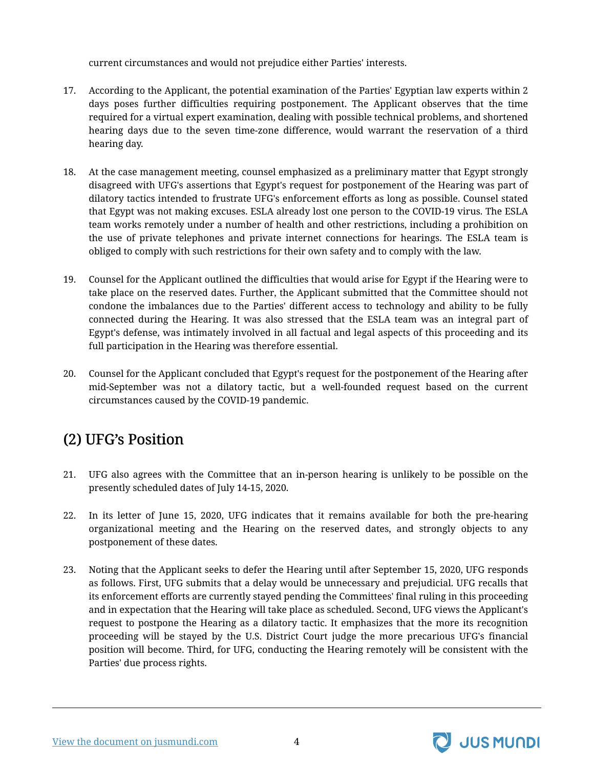current circumstances and would not prejudice either Parties' interests.

- 17. According to the Applicant, the potential examination of the Parties' Egyptian law experts within 2 days poses further difficulties requiring postponement. The Applicant observes that the time required for a virtual expert examination, dealing with possible technical problems, and shortened hearing days due to the seven time-zone difference, would warrant the reservation of a third hearing day.
- 18. At the case management meeting, counsel emphasized as a preliminary matter that Egypt strongly disagreed with UFG's assertions that Egypt's request for postponement of the Hearing was part of dilatory tactics intended to frustrate UFG's enforcement efforts as long as possible. Counsel stated that Egypt was not making excuses. ESLA already lost one person to the COVID-19 virus. The ESLA team works remotely under a number of health and other restrictions, including a prohibition on the use of private telephones and private internet connections for hearings. The ESLA team is obliged to comply with such restrictions for their own safety and to comply with the law.
- 19. Counsel for the Applicant outlined the difficulties that would arise for Egypt if the Hearing were to take place on the reserved dates. Further, the Applicant submitted that the Committee should not condone the imbalances due to the Parties' different access to technology and ability to be fully connected during the Hearing. It was also stressed that the ESLA team was an integral part of Egypt's defense, was intimately involved in all factual and legal aspects of this proceeding and its full participation in the Hearing was therefore essential.
- 20. Counsel for the Applicant concluded that Egypt's request for the postponement of the Hearing after mid-September was not a dilatory tactic, but a well-founded request based on the current circumstances caused by the COVID-19 pandemic.

# <span id="page-5-0"></span>(2) UFG's Position

- 21. UFG also agrees with the Committee that an in-person hearing is unlikely to be possible on the presently scheduled dates of July 14-15, 2020.
- 22. In its letter of June 15, 2020, UFG indicates that it remains available for both the pre-hearing organizational meeting and the Hearing on the reserved dates, and strongly objects to any postponement of these dates.
- 23. Noting that the Applicant seeks to defer the Hearing until after September 15, 2020, UFG responds as follows. First, UFG submits that a delay would be unnecessary and prejudicial. UFG recalls that its enforcement efforts are currently stayed pending the Committees' final ruling in this proceeding and in expectation that the Hearing will take place as scheduled. Second, UFG views the Applicant's request to postpone the Hearing as a dilatory tactic. It emphasizes that the more its recognition proceeding will be stayed by the U.S. District Court judge the more precarious UFG's financial position will become. Third, for UFG, conducting the Hearing remotely will be consistent with the Parties' due process rights.



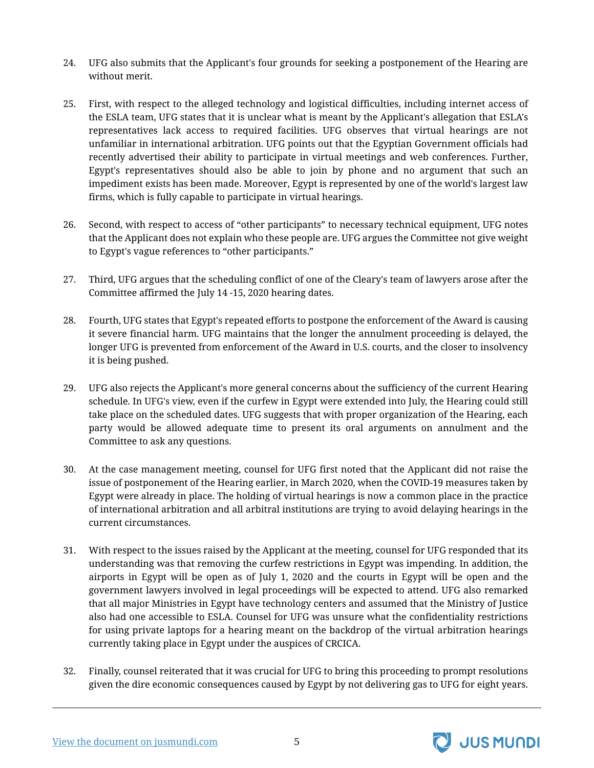- 24. UFG also submits that the Applicant's four grounds for seeking a postponement of the Hearing are without merit.
- 25. First, with respect to the alleged technology and logistical difficulties, including internet access of the ESLA team, UFG states that it is unclear what is meant by the Applicant's allegation that ESLA's representatives lack access to required facilities. UFG observes that virtual hearings are not unfamiliar in international arbitration. UFG points out that the Egyptian Government officials had recently advertised their ability to participate in virtual meetings and web conferences. Further, Egypt's representatives should also be able to join by phone and no argument that such an impediment exists has been made. Moreover, Egypt is represented by one of the world's largest law firms, which is fully capable to participate in virtual hearings.
- 26. Second, with respect to access of "other participants" to necessary technical equipment, UFG notes that the Applicant does not explain who these people are. UFG argues the Committee not give weight to Egypt's vague references to "other participants."
- 27. Third, UFG argues that the scheduling conflict of one of the Cleary's team of lawyers arose after the Committee affirmed the July 14 -15, 2020 hearing dates.
- 28. Fourth, UFG states that Egypt's repeated efforts to postpone the enforcement of the Award is causing it severe financial harm. UFG maintains that the longer the annulment proceeding is delayed, the longer UFG is prevented from enforcement of the Award in U.S. courts, and the closer to insolvency it is being pushed.
- 29. UFG also rejects the Applicant's more general concerns about the sufficiency of the current Hearing schedule. In UFG's view, even if the curfew in Egypt were extended into July, the Hearing could still take place on the scheduled dates. UFG suggests that with proper organization of the Hearing, each party would be allowed adequate time to present its oral arguments on annulment and the Committee to ask any questions.
- 30. At the case management meeting, counsel for UFG first noted that the Applicant did not raise the issue of postponement of the Hearing earlier, in March 2020, when the COVID-19 measures taken by Egypt were already in place. The holding of virtual hearings is now a common place in the practice of international arbitration and all arbitral institutions are trying to avoid delaying hearings in the current circumstances.
- 31. With respect to the issues raised by the Applicant at the meeting, counsel for UFG responded that its understanding was that removing the curfew restrictions in Egypt was impending. In addition, the airports in Egypt will be open as of July 1, 2020 and the courts in Egypt will be open and the government lawyers involved in legal proceedings will be expected to attend. UFG also remarked that all major Ministries in Egypt have technology centers and assumed that the Ministry of Justice also had one accessible to ESLA. Counsel for UFG was unsure what the confidentiality restrictions for using private laptops for a hearing meant on the backdrop of the virtual arbitration hearings currently taking place in Egypt under the auspices of CRCICA.
- 32. Finally, counsel reiterated that it was crucial for UFG to bring this proceeding to prompt resolutions given the dire economic consequences caused by Egypt by not delivering gas to UFG for eight years.

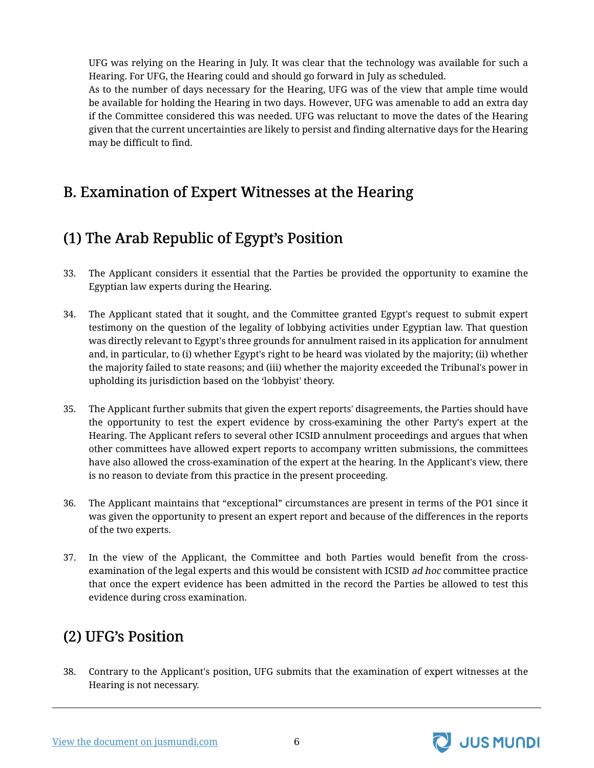UFG was relying on the Hearing in July. It was clear that the technology was available for such a Hearing. For UFG, the Hearing could and should go forward in July as scheduled.

As to the number of days necessary for the Hearing, UFG was of the view that ample time would be available for holding the Hearing in two days. However, UFG was amenable to add an extra day if the Committee considered this was needed. UFG was reluctant to move the dates of the Hearing given that the current uncertainties are likely to persist and finding alternative days for the Hearing may be difficult to find.

#### <span id="page-7-0"></span>B. Examination of Expert Witnesses at the Hearing

#### <span id="page-7-1"></span>(1) The Arab Republic of Egypt's Position

- 33. The Applicant considers it essential that the Parties be provided the opportunity to examine the Egyptian law experts during the Hearing.
- 34. The Applicant stated that it sought, and the Committee granted Egypt's request to submit expert testimony on the question of the legality of lobbying activities under Egyptian law. That question was directly relevant to Egypt's three grounds for annulment raised in its application for annulment and, in particular, to (i) whether Egypt's right to be heard was violated by the majority; (ii) whether the majority failed to state reasons; and (iii) whether the majority exceeded the Tribunal's power in upholding its jurisdiction based on the 'lobbyist' theory.
- 35. The Applicant further submits that given the expert reports' disagreements, the Parties should have the opportunity to test the expert evidence by cross-examining the other Party's expert at the Hearing. The Applicant refers to several other ICSID annulment proceedings and argues that when other committees have allowed expert reports to accompany written submissions, the committees have also allowed the cross-examination of the expert at the hearing. In the Applicant's view, there is no reason to deviate from this practice in the present proceeding.
- 36. The Applicant maintains that "exceptional" circumstances are present in terms of the PO1 since it was given the opportunity to present an expert report and because of the differences in the reports of the two experts.
- 37. In the view of the Applicant, the Committee and both Parties would benefit from the crossexamination of the legal experts and this would be consistent with ICSID ad hoc committee practice that once the expert evidence has been admitted in the record the Parties be allowed to test this evidence during cross examination.

#### <span id="page-7-2"></span>(2) UFG's Position

38. Contrary to the Applicant's position, UFG submits that the examination of expert witnesses at the Hearing is not necessary.



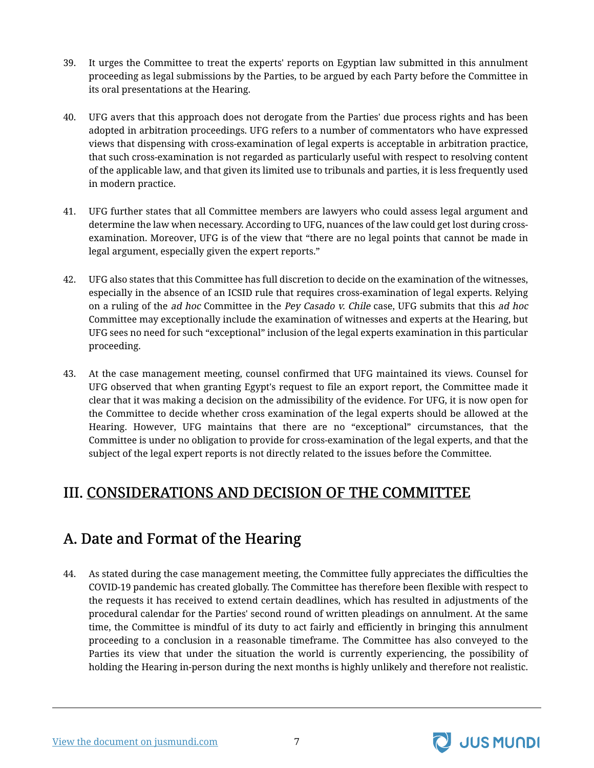- 39. It urges the Committee to treat the experts' reports on Egyptian law submitted in this annulment proceeding as legal submissions by the Parties, to be argued by each Party before the Committee in its oral presentations at the Hearing.
- 40. UFG avers that this approach does not derogate from the Parties' due process rights and has been adopted in arbitration proceedings. UFG refers to a number of commentators who have expressed views that dispensing with cross-examination of legal experts is acceptable in arbitration practice, that such cross-examination is not regarded as particularly useful with respect to resolving content of the applicable law, and that given its limited use to tribunals and parties, it is less frequently used in modern practice.
- 41. UFG further states that all Committee members are lawyers who could assess legal argument and determine the law when necessary. According to UFG, nuances of the law could get lost during crossexamination. Moreover, UFG is of the view that "there are no legal points that cannot be made in legal argument, especially given the expert reports."
- 42. UFG also states that this Committee has full discretion to decide on the examination of the witnesses, especially in the absence of an ICSID rule that requires cross-examination of legal experts. Relying on a ruling of the ad hoc Committee in the Pey Casado v. Chile case, UFG submits that this ad hoc Committee may exceptionally include the examination of witnesses and experts at the Hearing, but UFG sees no need for such "exceptional" inclusion of the legal experts examination in this particular proceeding.
- 43. At the case management meeting, counsel confirmed that UFG maintained its views. Counsel for UFG observed that when granting Egypt's request to file an export report, the Committee made it clear that it was making a decision on the admissibility of the evidence. For UFG, it is now open for the Committee to decide whether cross examination of the legal experts should be allowed at the Hearing. However, UFG maintains that there are no "exceptional" circumstances, that the Committee is under no obligation to provide for cross-examination of the legal experts, and that the subject of the legal expert reports is not directly related to the issues before the Committee.

#### <span id="page-8-0"></span>III. CONSIDERATIONS AND DECISION OF THE COMMITTEE

# <span id="page-8-1"></span>A. Date and Format of the Hearing

44. As stated during the case management meeting, the Committee fully appreciates the difficulties the COVID-19 pandemic has created globally. The Committee has therefore been flexible with respect to the requests it has received to extend certain deadlines, which has resulted in adjustments of the procedural calendar for the Parties' second round of written pleadings on annulment. At the same time, the Committee is mindful of its duty to act fairly and efficiently in bringing this annulment proceeding to a conclusion in a reasonable timeframe. The Committee has also conveyed to the Parties its view that under the situation the world is currently experiencing, the possibility of holding the Hearing in-person during the next months is highly unlikely and therefore not realistic.